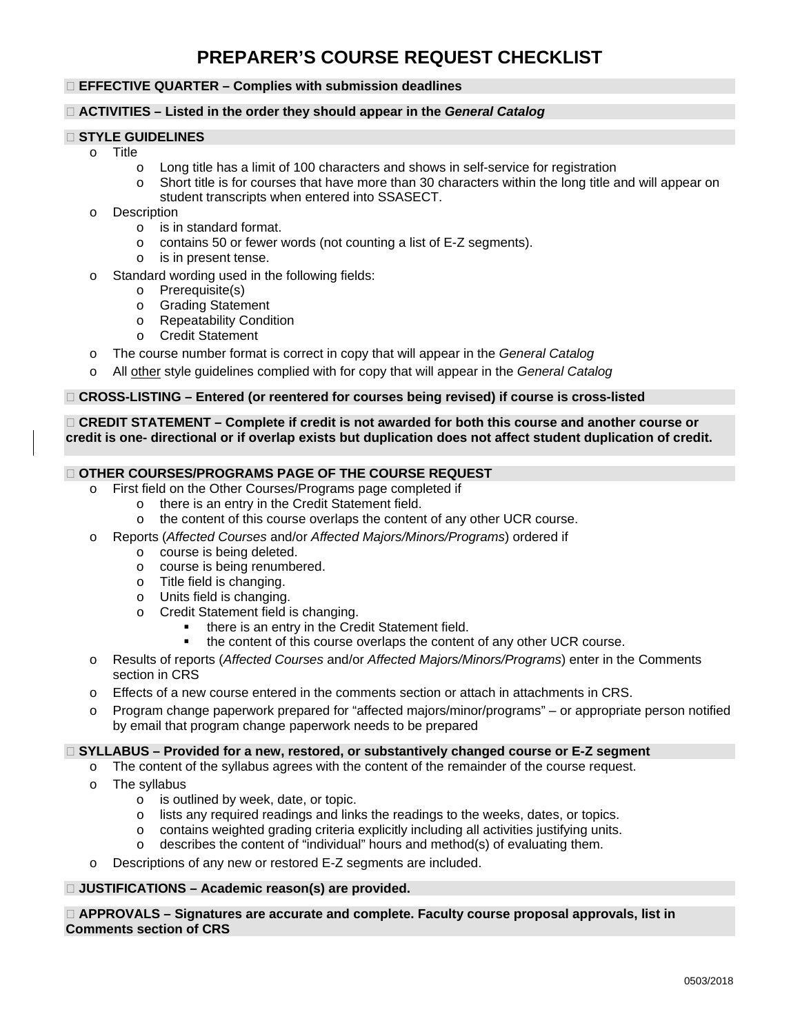# **PREPARER'S COURSE REQUEST CHECKLIST**

## **EFFECTIVE QUARTER – Complies with submission deadlines**

## **ACTIVITIES – Listed in the order they should appear in the** *General Catalog*

## **STYLE GUIDELINES**

- o Title
	- o Long title has a limit of 100 characters and shows in self-service for registration
	- o Short title is for courses that have more than 30 characters within the long title and will appear on student transcripts when entered into SSASECT.
- o Description<br>is ir
	- $\circ$  is in standard format.<br> $\circ$  contains 50 or fewer  $\circ$
	- contains 50 or fewer words (not counting a list of E-Z segments).
	- o is in present tense.
- o Standard wording used in the following fields:
	- o Prerequisite(s)
	- o Grading Statement<br>
	o Repeatability Condi
	- o Repeatability Condition<br>
	o Credit Statement
	- Credit Statement
- o The course number format is correct in copy that will appear in the *General Catalog*
- o All other style guidelines complied with for copy that will appear in the *General Catalog*

#### **CROSS-LISTING – Entered (or reentered for courses being revised) if course is cross-listed**

## **CREDIT STATEMENT – Complete if credit is not awarded for both this course and another course or credit is one- directional or if overlap exists but duplication does not affect student duplication of credit.**

## **OTHER COURSES/PROGRAMS PAGE OF THE COURSE REQUEST**

- o First field on the Other Courses/Programs page completed if<br>
o there is an entry in the Credit Statement field.
	- $\circ$  there is an entry in the Credit Statement field.<br> $\circ$  the content of this course overlaps the content
		- the content of this course overlaps the content of any other UCR course.
- o Reports (*Affected Courses* and/or *Affected Majors/Minors/Programs*) ordered if
	- o course is being deleted.
	- o course is being renumbered.
	- o Title field is changing.
	- o Units field is changing.
	- o Credit Statement field is changing.
		- there is an entry in the Credit Statement field.
		- the content of this course overlaps the content of any other UCR course.
- o Results of reports (*Affected Courses* and/or *Affected Majors/Minors/Programs*) enter in the Comments section in CRS
- o Effects of a new course entered in the comments section or attach in attachments in CRS.
- o Program change paperwork prepared for "affected majors/minor/programs" or appropriate person notified by email that program change paperwork needs to be prepared

#### **SYLLABUS – Provided for a new, restored, or substantively changed course or E-Z segment**

- o The content of the syllabus agrees with the content of the remainder of the course request.
- $\circ$  The syllabus
	- is outlined by week, date, or topic.
	- o lists any required readings and links the readings to the weeks, dates, or topics.
	- $\circ$  contains weighted grading criteria explicitly including all activities justifying units.<br>  $\circ$  describes the content of "individual" hours and method(s) of evaluating them.
	- describes the content of "individual" hours and method(s) of evaluating them.
- o Descriptions of any new or restored E-Z segments are included.

## **JUSTIFICATIONS – Academic reason(s) are provided.**

 **APPROVALS – Signatures are accurate and complete. Faculty course proposal approvals, list in Comments section of CRS**